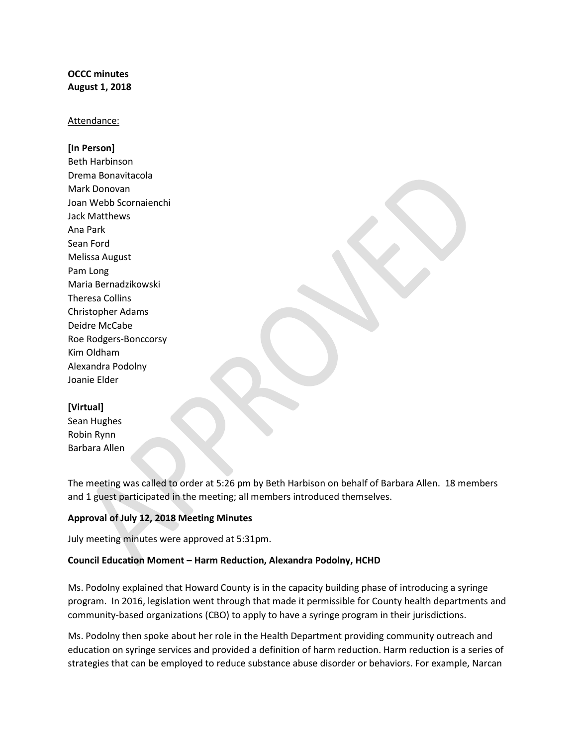### OCCC minutes August 1, 2018

#### Attendance:

[In Person] Beth Harbinson Drema Bonavitacola Mark Donovan Joan Webb Scornaienchi Jack Matthews Ana Park Sean Ford Melissa August Pam Long Maria Bernadzikowski Theresa Collins Christopher Adams Deidre McCabe Roe Rodgers-Bonccorsy Kim Oldham Alexandra Podolny Joanie Elder

### [Virtual]

Sean Hughes Robin Rynn Barbara Allen

The meeting was called to order at 5:26 pm by Beth Harbison on behalf of Barbara Allen. 18 members and 1 guest participated in the meeting; all members introduced themselves.

# Approval of July 12, 2018 Meeting Minutes

July meeting minutes were approved at 5:31pm.

### Council Education Moment – Harm Reduction, Alexandra Podolny, HCHD

Ms. Podolny explained that Howard County is in the capacity building phase of introducing a syringe program. In 2016, legislation went through that made it permissible for County health departments and community-based organizations (CBO) to apply to have a syringe program in their jurisdictions.

Ms. Podolny then spoke about her role in the Health Department providing community outreach and education on syringe services and provided a definition of harm reduction. Harm reduction is a series of strategies that can be employed to reduce substance abuse disorder or behaviors. For example, Narcan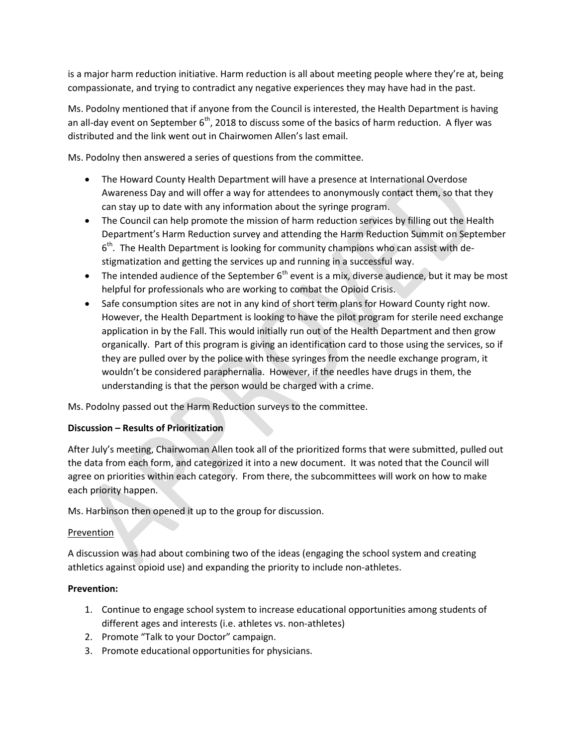is a major harm reduction initiative. Harm reduction is all about meeting people where they're at, being compassionate, and trying to contradict any negative experiences they may have had in the past.

Ms. Podolny mentioned that if anyone from the Council is interested, the Health Department is having an all-day event on September  $6<sup>th</sup>$ , 2018 to discuss some of the basics of harm reduction. A flyer was distributed and the link went out in Chairwomen Allen's last email.

Ms. Podolny then answered a series of questions from the committee.

- The Howard County Health Department will have a presence at International Overdose Awareness Day and will offer a way for attendees to anonymously contact them, so that they can stay up to date with any information about the syringe program.
- The Council can help promote the mission of harm reduction services by filling out the Health Department's Harm Reduction survey and attending the Harm Reduction Summit on September 6<sup>th</sup>. The Health Department is looking for community champions who can assist with destigmatization and getting the services up and running in a successful way.
- The intended audience of the September  $6<sup>th</sup>$  event is a mix, diverse audience, but it may be most helpful for professionals who are working to combat the Opioid Crisis.
- Safe consumption sites are not in any kind of short term plans for Howard County right now. However, the Health Department is looking to have the pilot program for sterile need exchange application in by the Fall. This would initially run out of the Health Department and then grow organically. Part of this program is giving an identification card to those using the services, so if they are pulled over by the police with these syringes from the needle exchange program, it wouldn't be considered paraphernalia. However, if the needles have drugs in them, the understanding is that the person would be charged with a crime.

Ms. Podolny passed out the Harm Reduction surveys to the committee.

## Discussion – Results of Prioritization

After July's meeting, Chairwoman Allen took all of the prioritized forms that were submitted, pulled out the data from each form, and categorized it into a new document. It was noted that the Council will agree on priorities within each category. From there, the subcommittees will work on how to make each priority happen.

Ms. Harbinson then opened it up to the group for discussion.

### **Prevention**

A discussion was had about combining two of the ideas (engaging the school system and creating athletics against opioid use) and expanding the priority to include non-athletes.

### Prevention:

- 1. Continue to engage school system to increase educational opportunities among students of different ages and interests (i.e. athletes vs. non-athletes)
- 2. Promote "Talk to your Doctor" campaign.
- 3. Promote educational opportunities for physicians.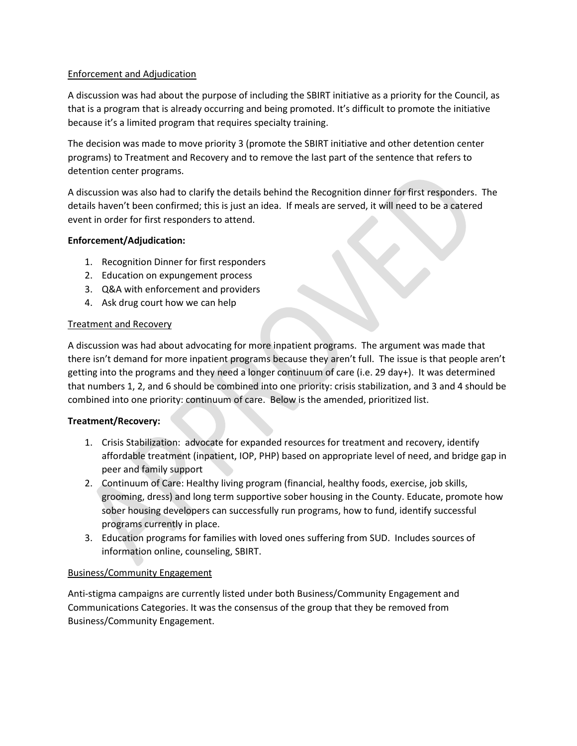## Enforcement and Adjudication

A discussion was had about the purpose of including the SBIRT initiative as a priority for the Council, as that is a program that is already occurring and being promoted. It's difficult to promote the initiative because it's a limited program that requires specialty training.

The decision was made to move priority 3 (promote the SBIRT initiative and other detention center programs) to Treatment and Recovery and to remove the last part of the sentence that refers to detention center programs.

A discussion was also had to clarify the details behind the Recognition dinner for first responders. The details haven't been confirmed; this is just an idea. If meals are served, it will need to be a catered event in order for first responders to attend.

## Enforcement/Adjudication:

- 1. Recognition Dinner for first responders
- 2. Education on expungement process
- 3. Q&A with enforcement and providers
- 4. Ask drug court how we can help

## Treatment and Recovery

A discussion was had about advocating for more inpatient programs. The argument was made that there isn't demand for more inpatient programs because they aren't full. The issue is that people aren't getting into the programs and they need a longer continuum of care (i.e. 29 day+). It was determined that numbers 1, 2, and 6 should be combined into one priority: crisis stabilization, and 3 and 4 should be combined into one priority: continuum of care. Below is the amended, prioritized list.

## Treatment/Recovery:

- 1. Crisis Stabilization: advocate for expanded resources for treatment and recovery, identify affordable treatment (inpatient, IOP, PHP) based on appropriate level of need, and bridge gap in peer and family support
- 2. Continuum of Care: Healthy living program (financial, healthy foods, exercise, job skills, grooming, dress) and long term supportive sober housing in the County. Educate, promote how sober housing developers can successfully run programs, how to fund, identify successful programs currently in place.
- 3. Education programs for families with loved ones suffering from SUD. Includes sources of information online, counseling, SBIRT.

## Business/Community Engagement

Anti-stigma campaigns are currently listed under both Business/Community Engagement and Communications Categories. It was the consensus of the group that they be removed from Business/Community Engagement.